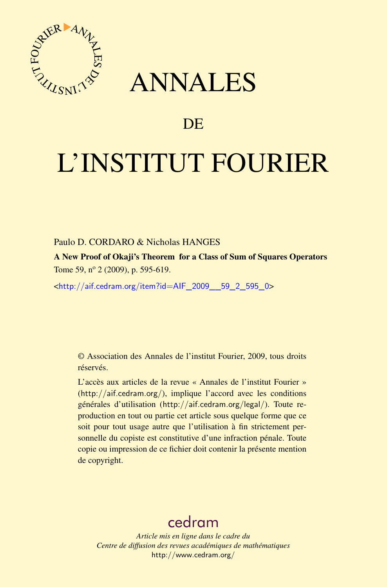

## ANNALES

## **DE**

# L'INSTITUT FOURIER

#### Paulo D. CORDARO & Nicholas HANGES

A New Proof of Okaji's Theorem for a Class of Sum of Squares Operators Tome 59, nº 2 (2009), p. 595-619.

<[http://aif.cedram.org/item?id=AIF\\_2009\\_\\_59\\_2\\_595\\_0](http://aif.cedram.org/item?id=AIF_2009__59_2_595_0)>

© Association des Annales de l'institut Fourier, 2009, tous droits réservés.

L'accès aux articles de la revue « Annales de l'institut Fourier » (<http://aif.cedram.org/>), implique l'accord avec les conditions générales d'utilisation (<http://aif.cedram.org/legal/>). Toute reproduction en tout ou partie cet article sous quelque forme que ce soit pour tout usage autre que l'utilisation à fin strictement personnelle du copiste est constitutive d'une infraction pénale. Toute copie ou impression de ce fichier doit contenir la présente mention de copyright.

## [cedram](http://www.cedram.org/)

*Article mis en ligne dans le cadre du Centre de diffusion des revues académiques de mathématiques* <http://www.cedram.org/>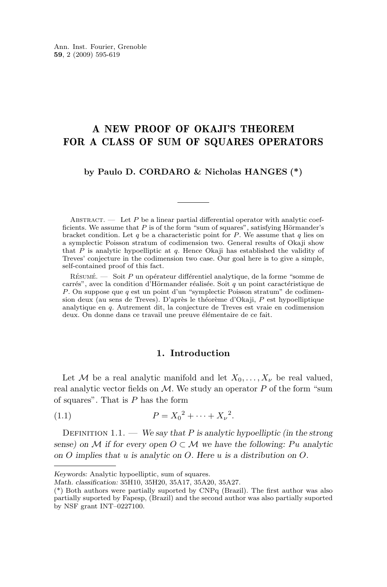### <span id="page-1-0"></span>A NEW PROOF OF OKAJI'S THEOREM FOR A CLASS OF SUM OF SQUARES OPERATORS

#### **by Paulo D. CORDARO & Nicholas HANGES (\*)**

ABSTRACT.  $\qquad$  Let P be a linear partial differential operator with analytic coefficients. We assume that P is of the form "sum of squares", satisfying Hörmander's bracket condition. Let q be a characteristic point for  $P$ . We assume that q lies on a symplectic Poisson stratum of codimension two. General results of Okaji show that  $\overline{P}$  is analytic hypoelliptic at q. Hence Okaji has established the validity of Treves' conjecture in the codimension two case. Our goal here is to give a simple, self-contained proof of this fact.

Résumé. — Soit P un opérateur différentiel analytique, de la forme "somme de carrés", avec la condition d'Hörmander réalisée. Soit q un point caractéristique de P. On suppose que q est un point d'un "symplectic Poisson stratum" de codimension deux (au sens de Treves). D'après le théorème d'Okaji, P est hypoelliptique analytique en q. Autrement dit, la conjecture de Treves est vraie en codimension deux. On donne dans ce travail une preuve élémentaire de ce fait.

#### **1. Introduction**

Let M be a real analytic manifold and let  $X_0, \ldots, X_{\nu}$  be real valued, real analytic vector fields on  $\mathcal M$ . We study an operator P of the form "sum of squares". That is  $P$  has the form

(1.1) 
$$
P = X_0^2 + \dots + X_{\nu}^2.
$$

Definition 1.1. — *We say that* P *is analytic hypoelliptic (in the strong sense)* on M if for every open  $O \subset M$  we have the following: Pu analytic *on* O *implies that* u *is analytic on* O*. Here* u *is a distribution on* O*.*

*Keywords:* Analytic hypoelliptic, sum of squares.

*Math. classification:* 35H10, 35H20, 35A17, 35A20, 35A27.

<sup>(\*)</sup> Both authors were partially suported by CNPq (Brazil). The first author was also partially suported by Fapesp, (Brazil) and the second author was also partially suported by NSF grant INT–0227100.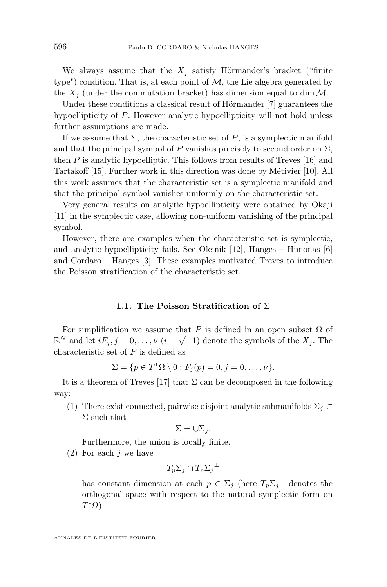We always assume that the  $X_i$  satisfy Hörmander's bracket ("finite") type") condition. That is, at each point of  $M$ , the Lie algebra generated by the  $X_i$  (under the commutation bracket) has dimension equal to dim  $\mathcal{M}$ .

Under these conditions a classical result of Hörmander [\[7\]](#page-24-0) guarantees the hypoellipticity of P. However analytic hypoellipticity will not hold unless further assumptions are made.

If we assume that  $\Sigma$ , the characteristic set of P, is a symplectic manifold and that the principal symbol of P vanishes precisely to second order on  $\Sigma$ , then  $P$  is analytic hypoelliptic. This follows from results of Treves [\[16\]](#page-25-0) and Tartakoff [\[15\]](#page-25-0). Further work in this direction was done by Métivier [\[10\]](#page-24-0). All this work assumes that the characteristic set is a symplectic manifold and that the principal symbol vanishes uniformly on the characteristic set.

Very general results on analytic hypoellipticity were obtained by Okaji [\[11\]](#page-24-0) in the symplectic case, allowing non-uniform vanishing of the principal symbol.

However, there are examples when the characteristic set is symplectic, and analytic hypoellipticity fails. See Oleinik [\[12\]](#page-24-0), Hanges – Himonas [\[6\]](#page-24-0) and Cordaro – Hanges [\[3\]](#page-24-0). These examples motivated Treves to introduce the Poisson stratification of the characteristic set.

#### **1.1. The Poisson Stratification of** Σ

For simplification we assume that P is defined in an open subset  $\Omega$  of For simplification we assume that T is defined in an open subset  $\Omega$  or  $\mathbb{R}^N$  and let  $iF_j$ ,  $j = 0, \ldots, \nu$   $(i = \sqrt{-1})$  denote the symbols of the  $X_j$ . The characteristic set of  $P$  is defined as

$$
\Sigma = \{p \in T^*\Omega \setminus 0 : F_j(p) = 0, j = 0, \dots, \nu\}.
$$

It is a theorem of Treves [\[17\]](#page-25-0) that  $\Sigma$  can be decomposed in the following way:

(1) There exist connected, pairwise disjoint analytic submanifolds  $\Sigma_j \subset$  $\Sigma$  such that

$$
\Sigma = \cup \Sigma_j.
$$

Furthermore, the union is locally finite.

 $(2)$  For each j we have

$$
T_p\Sigma_j\cap T_p\Sigma_j{}^\perp
$$

has constant dimension at each  $p \in \Sigma_j$  (here  $T_p \Sigma_j^{\perp}$  denotes the orthogonal space with respect to the natural symplectic form on  $T^*\Omega$ ).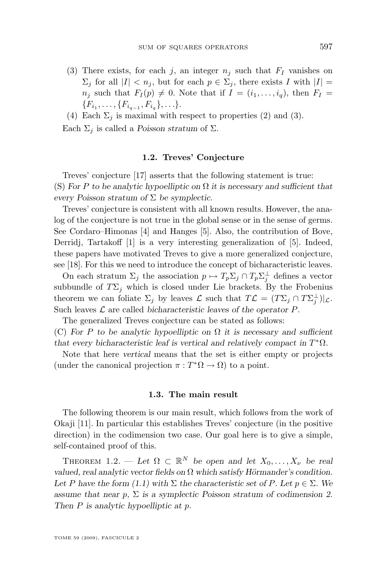- <span id="page-3-0"></span>(3) There exists, for each j, an integer  $n_i$  such that  $F_I$  vanishes on  $\Sigma_i$  for all  $|I| < n_i$ , but for each  $p \in \Sigma_i$ , there exists I with  $|I| =$  $n_i$  such that  $F_I(p) \neq 0$ . Note that if  $I = (i_1, \ldots, i_q)$ , then  $F_I =$  ${F_{i_1}, \ldots, F_{i_{q-1}, F_{i_q}}, \ldots}.$
- (4) Each  $\Sigma_i$  is maximal with respect to properties (2) and (3). Each  $\Sigma_i$  is called a *Poisson stratum* of  $\Sigma$ .

#### **1.2. Treves' Conjecture**

Treves' conjecture [\[17\]](#page-25-0) asserts that the following statement is true: (S) *For* P *to be analytic hypoelliptic on* Ω *it is necessary and sufficient that every Poisson stratum of* Σ *be symplectic.*

Treves' conjecture is consistent with all known results. However, the analog of the conjecture is not true in the global sense or in the sense of germs. See Cordaro–Himonas [\[4\]](#page-24-0) and Hanges [\[5\]](#page-24-0). Also, the contribution of Bove, Derridj, Tartakoff [\[1\]](#page-24-0) is a very interesting generalization of [\[5\]](#page-24-0). Indeed, these papers have motivated Treves to give a more generalized conjecture, see [\[18\]](#page-25-0). For this we need to introduce the concept of bicharacteristic leaves.

On each stratum  $\Sigma_j$  the association  $p \mapsto T_p \Sigma_j \cap T_p \Sigma_j^{\perp}$  defines a vector subbundle of  $T\Sigma_j$  which is closed under Lie brackets. By the Frobenius theorem we can foliate  $\Sigma_j$  by leaves  $\mathcal L$  such that  $T\mathcal L = (T\Sigma_j \cap T\Sigma_j^{\perp})|_{\mathcal L}$ . Such leaves L are called *bicharacteristic leaves of the operator* P.

The generalized Treves conjecture can be stated as follows:

(C) *For* P *to be analytic hypoelliptic on* Ω *it is necessary and sufficient that every bicharacteristic leaf is vertical and relatively compact in*  $T^*\Omega$ *.* 

Note that here *vertical* means that the set is either empty or projects (under the canonical projection  $\pi : T^*\Omega \to \Omega$ ) to a point.

#### **1.3. The main result**

The following theorem is our main result, which follows from the work of Okaji [\[11\]](#page-24-0). In particular this establishes Treves' conjecture (in the positive direction) in the codimension two case. Our goal here is to give a simple, self-contained proof of this.

THEOREM 1.2. — Let  $\Omega \subset \mathbb{R}^N$  be open and let  $X_0, \ldots, X_{\nu}$  be real *valued, real analytic vector fields on* Ω *which satisfy Hörmander's condition.* Let P have the form  $(1.1)$  with  $\Sigma$  the characteristic set of P. Let  $p \in \Sigma$ . We *assume that near* p*,* Σ *is a symplectic Poisson stratum of codimension 2. Then* P *is analytic hypoelliptic at* p*.*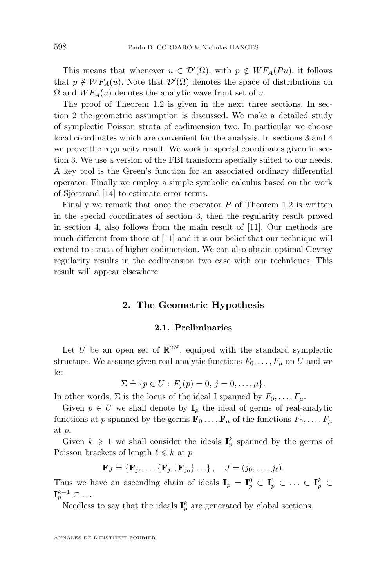This means that whenever  $u \in \mathcal{D}'(\Omega)$ , with  $p \notin WF_A(Pu)$ , it follows that  $p \notin WF_A(u)$ . Note that  $\mathcal{D}'(\Omega)$  denotes the space of distributions on  $\Omega$  and  $WF_A(u)$  denotes the analytic wave front set of u.

The proof of Theorem [1.2](#page-3-0) is given in the next three sections. In section 2 the geometric assumption is discussed. We make a detailed study of symplectic Poisson strata of codimension two. In particular we choose local coordinates which are convenient for the analysis. In sections [3](#page-7-0) and [4](#page-13-0) we prove the regularity result. We work in special coordinates given in section [3.](#page-7-0) We use a version of the FBI transform specially suited to our needs. A key tool is the Green's function for an associated ordinary differential operator. Finally we employ a simple symbolic calculus based on the work of Sjöstrand [\[14\]](#page-24-0) to estimate error terms.

Finally we remark that once the operator  $P$  of Theorem [1.2](#page-3-0) is written in the special coordinates of section [3,](#page-7-0) then the regularity result proved in section [4,](#page-13-0) also follows from the main result of [\[11\]](#page-24-0). Our methods are much different from those of [\[11\]](#page-24-0) and it is our belief that our technique will extend to strata of higher codimension. We can also obtain optimal Gevrey regularity results in the codimension two case with our techniques. This result will appear elsewhere.

#### **2. The Geometric Hypothesis**

#### **2.1. Preliminaries**

Let U be an open set of  $\mathbb{R}^{2N}$ , equiped with the standard symplectic structure. We assume given real-analytic functions  $F_0, \ldots, F_\mu$  on U and we let

$$
\Sigma \doteq \{ p \in U : F_j(p) = 0, j = 0, \dots, \mu \}.
$$

In other words,  $\Sigma$  is the locus of the ideal I spanned by  $F_0, \ldots, F_{\mu}$ .

Given  $p \in U$  we shall denote by  $\mathbf{I}_p$  the ideal of germs of real-analytic functions at p spanned by the germs  $\mathbf{F}_0 \dots, \mathbf{F}_{\mu}$  of the functions  $F_0, \dots, F_{\mu}$ at p.

Given  $k \geqslant 1$  we shall consider the ideals  $I_p^k$  spanned by the germs of Poisson brackets of length  $\ell \leq k$  at p

$$
\mathbf{F}_J \doteq \{ \mathbf{F}_{j_\ell}, \dots \{ \mathbf{F}_{j_1}, \mathbf{F}_{j_0} \} \dots \}, \quad J = (j_0, \dots, j_\ell).
$$

Thus we have an ascending chain of ideals  $I_p = I_p^0 \subset I_p^1 \subset \ldots \subset I_p^k \subset$  $\mathbf{I}_{p}^{k+1}\subset\ldots$ 

Needless to say that the ideals  $I_p^k$  are generated by global sections.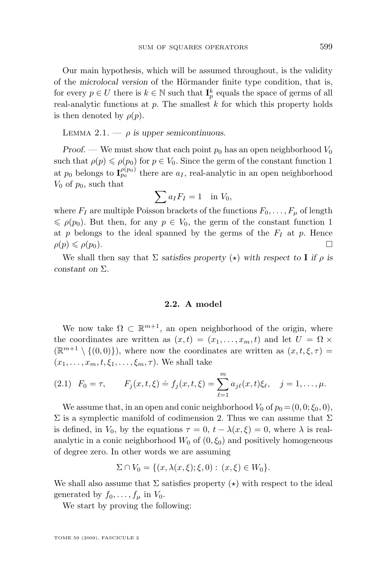<span id="page-5-0"></span>Our main hypothesis, which will be assumed throughout, is the validity of the *microlocal version* of the Hörmander finite type condition, that is, for every  $p \in U$  there is  $k \in \mathbb{N}$  such that  $\mathbf{I}_p^k$  equals the space of germs of all real-analytic functions at  $p$ . The smallest  $k$  for which this property holds is then denoted by  $\rho(p)$ .

LEMMA 2.1.  $-\rho$  *is upper semicontinuous.* 

*Proof.* — We must show that each point  $p_0$  has an open neighborhood  $V_0$ such that  $\rho(p) \leq \rho(p_0)$  for  $p \in V_0$ . Since the germ of the constant function 1 at  $p_0$  belongs to  $\mathbf{I}_{p_0}^{\rho(p_0)}$  there are  $a_I$ , real-analytic in an open neighborhood  $V_0$  of  $p_0$ , such that

$$
\sum a_I F_I = 1 \quad \text{in } V_0,
$$

where  $F_I$  are multiple Poisson brackets of the functions  $F_0, \ldots, F_\mu$  of length  $\leq \rho(p_0)$ . But then, for any  $p \in V_0$ , the germ of the constant function 1 at p belongs to the ideal spanned by the germs of the  $F_I$  at p. Hence  $\rho(p) \leqslant \rho(p_0).$ 

We shall then say that  $\Sigma$  *satisfies property* ( $\star$ ) *with respect to* **I** *if*  $\rho$  *is constant on* Σ*.*

#### **2.2. A model**

We now take  $\Omega \subset \mathbb{R}^{m+1}$ , an open neighborhood of the origin, where the coordinates are written as  $(x, t) = (x_1, \ldots, x_m, t)$  and let  $U = \Omega \times$  $(\mathbb{R}^{m+1} \setminus \{(0,0)\})$ , where now the coordinates are written as  $(x, t, \xi, \tau)$  $(x_1, \ldots, x_m, t, \xi_1, \ldots, \xi_m, \tau)$ . We shall take

(2.1) 
$$
F_0 = \tau
$$
,  $F_j(x, t, \xi) \doteq f_j(x, t, \xi) = \sum_{\ell=1}^m a_{j\ell}(x, t)\xi_\ell$ ,  $j = 1, ..., \mu$ .

We assume that, in an open and conic neighborhood  $V_0$  of  $p_0 = (0, 0; \xi_0, 0)$ ,  $\Sigma$  is a symplectic manifold of codimension 2. Thus we can assume that  $\Sigma$ is defined, in  $V_0$ , by the equations  $\tau = 0$ ,  $t - \lambda(x, \xi) = 0$ , where  $\lambda$  is realanalytic in a conic neighborhood  $W_0$  of  $(0, \xi_0)$  and positively homogeneous of degree zero. In other words we are assuming

$$
\Sigma \cap V_0 = \{ (x, \lambda(x, \xi); \xi, 0) : (x, \xi) \in W_0 \}.
$$

We shall also assume that  $\Sigma$  satisfies property  $(\star)$  with respect to the ideal generated by  $f_0, \ldots, f_\mu$  in  $V_0$ .

We start by proving the following: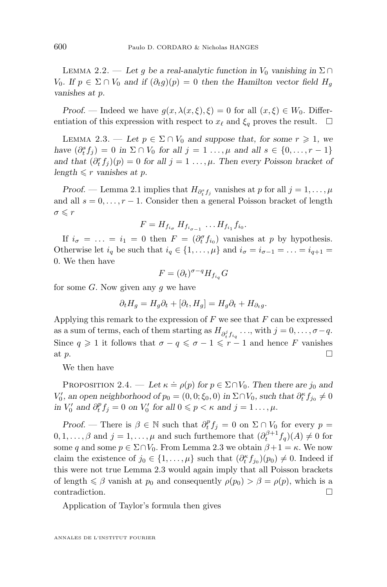<span id="page-6-0"></span>LEMMA 2.2. — Let g be a real-analytic function in  $V_0$  vanishing in  $\Sigma \cap$  $V_0$ *.* If  $p \in \Sigma \cap V_0$  and if  $(\partial_t g)(p) = 0$  then the Hamilton vector field  $H_q$ *vanishes at* p*.*

*Proof.* — Indeed we have  $g(x, \lambda(x, \xi), \xi) = 0$  for all  $(x, \xi) \in W_0$ . Differentiation of this expression with respect to  $x_\ell$  and  $\xi_q$  proves the result.  $\Box$ 

LEMMA 2.3. — Let  $p \in \Sigma \cap V_0$  and suppose that, for some  $r \geq 1$ , we *have*  $(\partial_t^s f_j) = 0$  *in*  $\Sigma \cap V_0$  *for all*  $j = 1 \dots, \mu$  *and all*  $s \in \{0, \dots, r - 1\}$ *and that*  $(\partial_t^r f_j)(p) = 0$  *for all*  $j = 1 \ldots, \mu$ *. Then every Poisson bracket of*  $length \leq r$  *vanishes at p.* 

*Proof.* — Lemma [2.1](#page-5-0) implies that  $H_{\partial_t^s f_j}$  vanishes at p for all  $j = 1, ..., \mu$ and all  $s = 0, \ldots, r - 1$ . Consider then a general Poisson bracket of length  $\sigma \leqslant r$ 

$$
F = H_{f_{i_{\sigma}}} H_{f_{i_{\sigma-1}}} \dots H_{f_{i_1}} f_{i_0}.
$$

If  $i_{\sigma} = \ldots = i_1 = 0$  then  $F = (\partial_{t}^{\sigma} f_{i_0})$  vanishes at p by hypothesis. Otherwise let  $i_q$  be such that  $i_q \in \{1, \ldots, \mu\}$  and  $i_\sigma = i_{\sigma-1} = \ldots = i_{q+1}$ 0. We then have

$$
F = (\partial_t)^{\sigma - q} H_{f_{i_q}} G
$$

for some  $G$ . Now given any  $g$  we have

$$
\partial_t H_g = H_g \partial_t + [\partial_t, H_g] = H_g \partial_t + H_{\partial_t g}.
$$

Applying this remark to the expression of  $F$  we see that  $F$  can be expressed as a sum of terms, each of them starting as  $H_{\partial_t^j f_{i_q}} \dots$ , with  $j = 0, \dots, \sigma - q$ . Since  $q \geq 1$  it follows that  $\sigma - q \leq \sigma - 1 \leq r - 1$  and hence F vanishes at  $p$ .

We then have

PROPOSITION 2.4. — Let  $\kappa \doteq \rho(p)$  for  $p \in \Sigma \cap V_0$ . Then there are  $j_0$  and  $V'_0$ , an open neighborhood of  $p_0 = (0, 0; \xi_0, 0)$  in  $\Sigma \cap V_0$ , such that  $\partial_t^{\kappa} f_{j_0} \neq 0$ *in*  $V'_0$  and  $\partial_t^p f_j = 0$  *on*  $V'_0$  *for all*  $0 \leq p < \kappa$  *and*  $j = 1 \dots, \mu$ *.* 

*Proof.* — There is  $\beta \in \mathbb{N}$  such that  $\partial_t^p f_j = 0$  on  $\Sigma \cap V_0$  for every  $p =$  $0, 1, \ldots, \beta$  and  $j = 1, \ldots, \mu$  and such furthemore that  $(\partial_t^{\beta+1} f_q)(A) \neq 0$  for some q and some  $p \in \Sigma \cap V_0$ . From Lemma 2.3 we obtain  $\beta + 1 = \kappa$ . We now claim the existence of  $j_0 \in \{1, ..., \mu\}$  such that  $(\partial_t^{\kappa} f_{j_0})(p_0) \neq 0$ . Indeed if this were not true Lemma 2.3 would again imply that all Poisson brackets of length  $\leq \beta$  vanish at  $p_0$  and consequently  $\rho(p_0) > \beta = \rho(p)$ , which is a contradiction.

Application of Taylor's formula then gives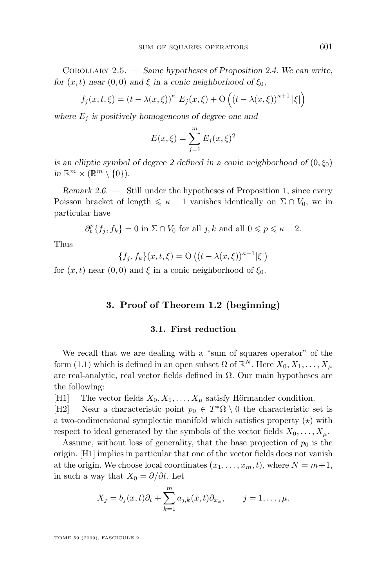<span id="page-7-0"></span>Corollary 2.5. — *Same hypotheses of Proposition [2.4.](#page-6-0) We can write, for*  $(x, t)$  *near*  $(0, 0)$  *and*  $\xi$  *in a conic neighborhood of*  $\xi_0$ *,* 

$$
f_j(x, t, \xi) = (t - \lambda(x, \xi))^{\kappa} E_j(x, \xi) + \mathcal{O}\left((t - \lambda(x, \xi))^{\kappa + 1} |\xi|\right)
$$

where  $E_i$  *is positively homogeneous of degree one and* 

$$
E(x,\xi) = \sum_{j=1}^{m} E_j(x,\xi)^2
$$

*is an elliptic symbol of degree 2 defined in a conic neighborhood of*  $(0, \xi_0)$  $\text{in } \mathbb{R}^m \times (\mathbb{R}^m \setminus \{0\}).$ 

*Remark 2.6. —* Still under the hypotheses of Proposition 1, since every Poisson bracket of length  $\leq \kappa - 1$  vanishes identically on  $\Sigma \cap V_0$ , we in particular have

 $\partial_t^p \{f_j, f_k\} = 0$  in  $\Sigma \cap V_0$  for all  $j, k$  and all  $0 \leqslant p \leqslant \kappa - 2$ .

Thus

$$
\{f_j, f_k\}(x, t, \xi) = O((t - \lambda(x, \xi))^{\kappa - 1}|\xi|)
$$

for  $(x, t)$  near  $(0, 0)$  and  $\xi$  in a conic neighborhood of  $\xi_0$ .

#### **3. Proof of Theorem [1.2](#page-3-0) (beginning)**

#### **3.1. First reduction**

We recall that we are dealing with a "sum of squares operator" of the form [\(1.1\)](#page-1-0) which is defined in an open subset  $\Omega$  of  $\mathbb{R}^N$ . Here  $X_0, X_1, \ldots, X_\mu$ are real-analytic, real vector fields defined in  $\Omega$ . Our main hypotheses are the following:

[H1] The vector fields  $X_0, X_1, \ldots, X_\mu$  satisfy Hörmander condition.

[H2] Near a characteristic point  $p_0 \in T^*\Omega \setminus 0$  the characteristic set is a two-codimensional symplectic manifold which satisfies property  $(\star)$  with respect to ideal generated by the symbols of the vector fields  $X_0, \ldots, X_u$ .

Assume, without loss of generality, that the base projection of  $p_0$  is the origin. [H1] implies in particular that one of the vector fields does not vanish at the origin. We choose local coordinates  $(x_1, \ldots, x_m, t)$ , where  $N = m+1$ , in such a way that  $X_0 = \partial/\partial t$ . Let

$$
X_j = b_j(x, t)\partial_t + \sum_{k=1}^m a_{j,k}(x, t)\partial_{x_k}, \qquad j = 1, \dots, \mu.
$$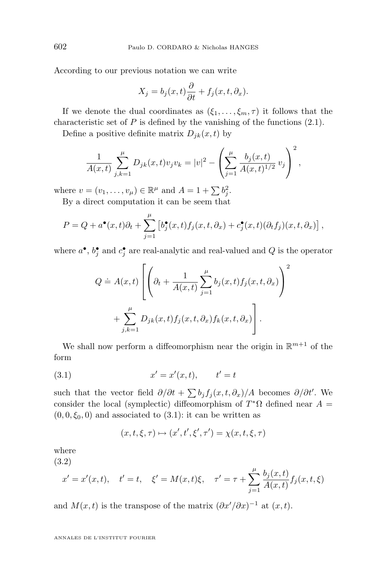According to our previous notation we can write

$$
X_j = b_j(x, t)\frac{\partial}{\partial t} + f_j(x, t, \partial_x).
$$

If we denote the dual coordinates as  $(\xi_1, \ldots, \xi_m, \tau)$  it follows that the characteristic set of  $P$  is defined by the vanishing of the functions  $(2.1)$ .

Define a positive definite matrix  $D_{jk}(x, t)$  by

$$
\frac{1}{A(x,t)}\sum_{j,k=1}^{\mu}D_{jk}(x,t)v_jv_k=|v|^2-\left(\sum_{j=1}^{\mu}\frac{b_j(x,t)}{A(x,t)^{1/2}}v_j\right)^2,
$$

where  $v = (v_1, \ldots, v_\mu) \in \mathbb{R}^\mu$  and  $A = 1 + \sum b_j^2$ .

By a direct computation it can be seem that

$$
P = Q + a^{\bullet}(x,t)\partial_t + \sum_{j=1}^{\mu} \left[ b_j^{\bullet}(x,t)f_j(x,t,\partial_x) + c_j^{\bullet}(x,t)(\partial_t f_j)(x,t,\partial_x) \right],
$$

where  $a^{\bullet}, b^{\bullet}_j$  and  $c^{\bullet}_j$  are real-analytic and real-valued and Q is the operator

$$
Q \doteq A(x,t) \left[ \left( \partial_t + \frac{1}{A(x,t)} \sum_{j=1}^{\mu} b_j(x,t) f_j(x,t, \partial_x) \right)^2 + \sum_{j,k=1}^{\mu} D_{jk}(x,t) f_j(x,t, \partial_x) f_k(x,t, \partial_x) \right].
$$

We shall now perform a diffeomorphism near the origin in  $\mathbb{R}^{m+1}$  of the form

(3.1) 
$$
x' = x'(x, t), \qquad t' = t
$$

such that the vector field  $\partial/\partial t + \sum b_j f_j(x, t, \partial_x)/A$  becomes  $\partial/\partial t'$ . We consider the local (symplectic) diffeomorphism of  $T^*\Omega$  defined near  $A =$  $(0, 0, \xi_0, 0)$  and associated to  $(3.1)$ : it can be written as

$$
(x,t,\xi,\tau)\mapsto (x',t',\xi',\tau')=\chi(x,t,\xi,\tau)
$$

where (3.2)

$$
x' = x'(x, t),
$$
  $t' = t,$   $\xi' = M(x, t)\xi,$   $\tau' = \tau + \sum_{j=1}^{\mu} \frac{b_j(x, t)}{A(x, t)} f_j(x, t, \xi)$ 

and  $M(x,t)$  is the transpose of the matrix  $(\partial x'/\partial x)^{-1}$  at  $(x,t)$ .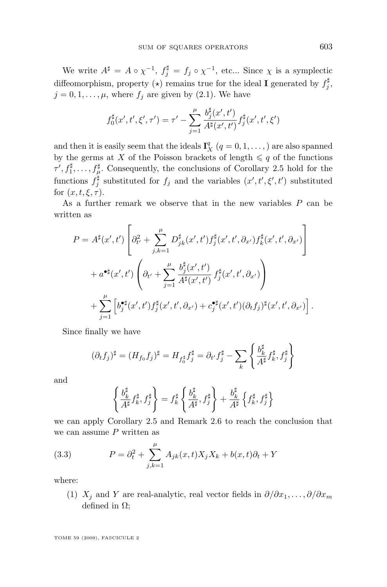<span id="page-9-0"></span>We write  $A^{\sharp} = A \circ \chi^{-1}$ ,  $f_j^{\sharp} = f_j \circ \chi^{-1}$ , etc... Since  $\chi$  is a symplectic diffeomorphism, property  $(\star)$  remains true for the ideal **I** generated by  $f_j^{\sharp}$ ,  $j = 0, 1, \ldots, \mu$ , where  $f_j$  are given by [\(2.1\)](#page-5-0). We have

$$
f_0^{\sharp}(x',t',\xi',\tau') = \tau' - \sum_{j=1}^{\mu} \frac{b_j^{\sharp}(x',t')}{A^{\sharp}(x',t')} f_j^{\sharp}(x',t',\xi')
$$

and then it is easily seem that the ideals  $\mathbf{I}_{X}^{q}$   $(q = 0, 1, \ldots)$  are also spanned by the germs at X of the Poisson brackets of length  $\leq q$  of the functions  $\tau', f_1^{\sharp}, \ldots, f_{\mu}^{\sharp}$ . Consequently, the conclusions of Corollary [2.5](#page-6-0) hold for the functions  $f_j^{\sharp}$  substituted for  $f_j$  and the variables  $(x', t', \xi', t')$  substituted for  $(x, t, \xi, \tau)$ .

As a further remark we observe that in the new variables P can be written as

$$
P = A^{\sharp}(x',t') \left[ \partial_{t'}^{2} + \sum_{j,k=1}^{\mu} D_{jk}^{\sharp}(x',t') f_{j}^{\sharp}(x',t',\partial_{x'}) f_{k}^{\sharp}(x',t',\partial_{x'}) \right] + a^{\bullet \sharp}(x',t') \left( \partial_{t'} + \sum_{j=1}^{\mu} \frac{b_{j}^{\sharp}(x',t')}{A^{\sharp}(x',t')} f_{j}^{\sharp}(x',t',\partial_{x'}) \right) + \sum_{j=1}^{\mu} \left[ b_{j}^{\bullet \sharp}(x',t') f_{j}^{\sharp}(x',t',\partial_{x'}) + c_{j}^{\bullet \sharp}(x',t') (\partial_{t}f_{j})^{\sharp}(x',t',\partial_{x'}) \right].
$$

Since finally we have

$$
(\partial_t f_j)^\sharp = (H_{f_0} f_j)^\sharp = H_{f_0^\sharp} f_j^\sharp = \partial_{t'} f_j^\sharp - \sum_k \left\{ \frac{b_k^\sharp}{A^\sharp} f_k^\sharp, f_j^\sharp \right\}
$$

and

$$
\left\{\frac{b_k^\sharp}{A^\sharp}f_k^\sharp,f_j^\sharp\right\}=f_k^\sharp\left\{\frac{b_k^\sharp}{A^\sharp},f_j^\sharp\right\}+\frac{b_k^\sharp}{A^\sharp}\left\{f_k^\sharp,f_j^\sharp\right\}
$$

we can apply Corollary [2.5](#page-6-0) and Remark [2.6](#page-7-0) to reach the conclusion that we can assume  $P$  written as

(3.3) 
$$
P = \partial_t^2 + \sum_{j,k=1}^{\mu} A_{jk}(x,t) X_j X_k + b(x,t) \partial_t + Y
$$

where:

(1)  $X_i$  and Y are real-analytic, real vector fields in  $\partial/\partial x_1, \ldots, \partial/\partial x_m$ defined in  $\Omega$ ;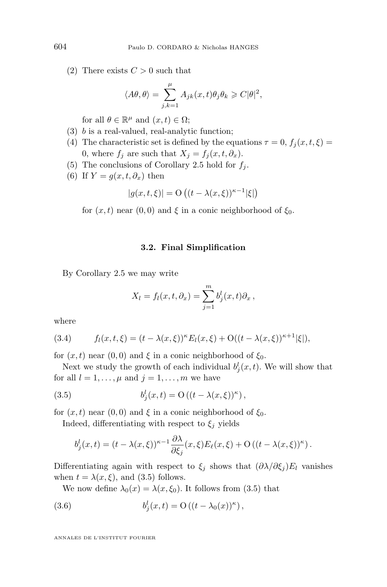(2) There exists  $C > 0$  such that

$$
\langle A\theta, \theta \rangle = \sum_{j,k=1}^{\mu} A_{jk}(x,t) \theta_j \theta_k \geqslant C |\theta|^2,
$$

for all  $\theta \in \mathbb{R}^{\mu}$  and  $(x, t) \in \Omega$ ;

- (3) b is a real-valued, real-analytic function;
- (4) The characteristic set is defined by the equations  $\tau = 0$ ,  $f_i(x, t, \xi) =$ 0, where  $f_j$  are such that  $X_j = f_j(x, t, \partial_x)$ .
- (5) The conclusions of Corollary [2.5](#page-6-0) hold for  $f_i$ .
- (6) If  $Y = g(x, t, \partial_x)$  then

$$
|g(x, t, \xi)| = \mathcal{O}\left((t - \lambda(x, \xi))^{\kappa - 1}|\xi|\right)
$$

for  $(x, t)$  near  $(0, 0)$  and  $\xi$  in a conic neighborhood of  $\xi_0$ .

#### **3.2. Final Simplification**

By Corollary [2.5](#page-6-0) we may write

$$
X_l = f_l(x, t, \partial_x) = \sum_{j=1}^m b_j^l(x, t)\partial_x,
$$

where

(3.4) 
$$
f_l(x,t,\xi) = (t - \lambda(x,\xi))^{\kappa} E_l(x,\xi) + O((t - \lambda(x,\xi))^{\kappa+1}|\xi|),
$$

for  $(x, t)$  near  $(0, 0)$  and  $\xi$  in a conic neighborhood of  $\xi_0$ .

Next we study the growth of each individual  $b_j^l(x, t)$ . We will show that for all  $l = 1, \ldots, \mu$  and  $j = 1, \ldots, m$  we have

(3.5) 
$$
b_j^l(x,t) = \mathcal{O}\left((t-\lambda(x,\xi))^{\kappa}\right),
$$

for  $(x, t)$  near  $(0, 0)$  and  $\xi$  in a conic neighborhood of  $\xi_0$ .

Indeed, differentiating with respect to  $\xi_i$  yields

$$
b_j^l(x,t) = (t - \lambda(x,\xi))^{\kappa-1} \frac{\partial \lambda}{\partial \xi_j}(x,\xi) E_\ell(x,\xi) + O\left((t - \lambda(x,\xi))^{\kappa}\right).
$$

Differentiating again with respect to  $\xi_i$  shows that  $(\partial \lambda / \partial \xi_i)E_l$  vanishes when  $t = \lambda(x, \xi)$ , and (3.5) follows.

We now define  $\lambda_0(x) = \lambda(x, \xi_0)$ . It follows from (3.5) that

(3.6) 
$$
b_j^l(x,t) = O((t - \lambda_0(x))^{\kappa}),
$$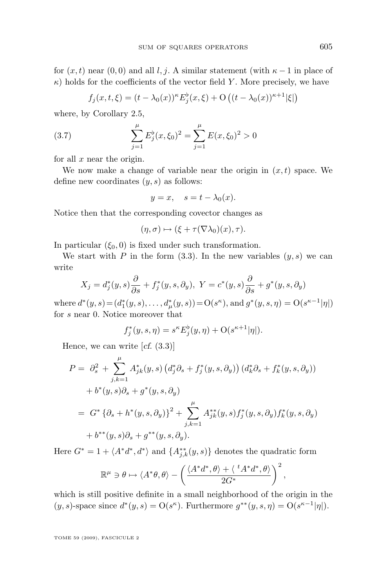<span id="page-11-0"></span>for  $(x, t)$  near  $(0, 0)$  and all l, j. A similar statement (with  $\kappa - 1$  in place of  $\kappa$ ) holds for the coefficients of the vector field Y. More precisely, we have

$$
f_j(x,t,\xi) = (t - \lambda_0(x))^{\kappa} E_j^{\flat}(x,\xi) + \mathcal{O}\left((t - \lambda_0(x))^{\kappa+1}|\xi|\right)
$$

where, by Corollary [2.5,](#page-6-0)

(3.7) 
$$
\sum_{j=1}^{\mu} E_j^{\flat}(x,\xi_0)^2 = \sum_{j=1}^{\mu} E(x,\xi_0)^2 > 0
$$

for all  $x$  near the origin.

We now make a change of variable near the origin in  $(x, t)$  space. We define new coordinates  $(y, s)$  as follows:

$$
y = x, \quad s = t - \lambda_0(x).
$$

Notice then that the corresponding covector changes as

$$
(\eta,\sigma)\mapsto (\xi+\tau(\nabla\lambda_0)(x),\tau).
$$

In particular  $(\xi_0, 0)$  is fixed under such transformation.

We start with P in the form  $(3.3)$ . In the new variables  $(y, s)$  we can write

$$
X_j = d_j^*(y, s) \frac{\partial}{\partial s} + f_j^*(y, s, \partial_y), \ Y = c^*(y, s) \frac{\partial}{\partial s} + g^*(y, s, \partial_y)
$$

where  $d^*(y, s) = (d_1^*(y, s), \dots, d_\mu^*(y, s)) = O(s^\kappa)$ , and  $g^*(y, s, \eta) = O(s^{\kappa-1}|\eta|)$ for s near 0. Notice moreover that

$$
f_j^*(y, s, \eta) = s^{\kappa} E_j^{\flat}(y, \eta) + \mathcal{O}(s^{\kappa+1}|\eta|).
$$

Hence, we can write [*cf.* [\(3.3\)](#page-9-0)]

$$
P = \partial_s^2 + \sum_{j,k=1}^{\mu} A_{jk}^*(y,s) (d_j^* \partial_s + f_j^*(y,s,\partial_y)) (d_k^* \partial_s + f_k^*(y,s,\partial_y))
$$
  
+  $b^*(y,s) \partial_s + g^*(y,s,\partial_y)$   
=  $G^* \{ \partial_s + h^*(y,s,\partial_y) \}^2 + \sum_{j,k=1}^{\mu} A_{jk}^{**}(y,s) f_j^*(y,s,\partial_y) f_k^*(y,s,\partial_y)$   
+  $b^{**}(y,s) \partial_s + g^{**}(y,s,\partial_y).$ 

Here  $G^* = 1 + \langle A^*d^*, d^* \rangle$  and  $\{A_{j,k}^{**}(y, s)\}\$  denotes the quadratic form

$$
\mathbb{R}^{\mu} \ni \theta \mapsto \langle A^*\theta, \theta \rangle - \left( \frac{\langle A^*d^*, \theta \rangle + \langle {}^t A^*d^*, \theta \rangle}{2G^*} \right)^2
$$

,

which is still positive definite in a small neighborhood of the origin in the  $(y, s)$ -space since  $d^*(y, s) = O(s^{\kappa})$ . Furthermore  $g^{**}(y, s, \eta) = O(s^{\kappa-1}|\eta|)$ .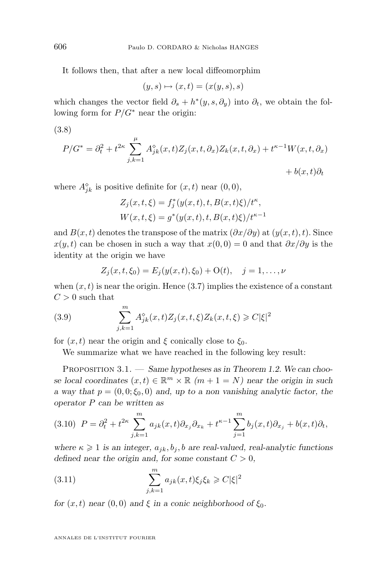It follows then, that after a new local diffeomorphim

$$
(y,s)\mapsto(x,t)=(x(y,s),s)
$$

which changes the vector field  $\partial_s + h^*(y, s, \partial_y)$  into  $\partial_t$ , we obtain the following form for  $P/G^*$  near the origin:

(3.8)

$$
P/G^* = \partial_t^2 + t^{2\kappa} \sum_{j,k=1}^{\mu} A_{jk}^{\circ}(x,t) Z_j(x,t,\partial_x) Z_k(x,t,\partial_x) + t^{\kappa-1} W(x,t,\partial_x)
$$

$$
+ b(x,t)\partial_t
$$

where  $A_{jk}^{\diamond}$  is positive definite for  $(x, t)$  near  $(0, 0)$ ,

$$
Z_j(x, t, \xi) = f_j^*(y(x, t), t, B(x, t)\xi)/t^{\kappa},
$$
  
 
$$
W(x, t, \xi) = g^*(y(x, t), t, B(x, t)\xi)/t^{\kappa-1}
$$

and  $B(x, t)$  denotes the transpose of the matrix  $(\partial x/\partial y)$  at  $(y(x, t), t)$ . Since  $x(y, t)$  can be chosen in such a way that  $x(0, 0) = 0$  and that  $\partial x/\partial y$  is the identity at the origin we have

$$
Z_j(x, t, \xi_0) = E_j(y(x, t), \xi_0) + O(t), \quad j = 1, \dots, \nu
$$

when  $(x, t)$  is near the origin. Hence  $(3.7)$  implies the existence of a constant  $C > 0$  such that

(3.9) 
$$
\sum_{j,k=1}^{m} A_{jk}^{\diamond}(x,t) Z_j(x,t,\xi) Z_k(x,t,\xi) \geq C |\xi|^2
$$

for  $(x, t)$  near the origin and ξ conically close to  $\xi_0$ .

We summarize what we have reached in the following key result:

Proposition 3.1. — *Same hypotheses as in Theorem [1.2.](#page-3-0) We can choose local coordinates*  $(x, t) \in \mathbb{R}^m \times \mathbb{R}$   $(m + 1 = N)$  *near the origin in such a* way that  $p = (0, 0; \xi_0, 0)$  and, up to a non vanishing analytic factor, the *operator* P *can be written as*

$$
(3.10)\ \ P = \partial_t^2 + t^{2\kappa} \sum_{j,k=1}^m a_{jk}(x,t) \partial_{x_j} \partial_{x_k} + t^{\kappa-1} \sum_{j=1}^m b_j(x,t) \partial_{x_j} + b(x,t) \partial_t,
$$

*where*  $\kappa \geq 1$  *is an integer,*  $a_{jk}$ ,  $b_j$ , *b* are real-valued, real-analytic functions *defined near the origin and, for some constant*  $C > 0$ *,* 

(3.11) 
$$
\sum_{j,k=1}^{m} a_{jk}(x,t)\xi_j\xi_k \geqslant C|\xi|^2
$$

*for*  $(x, t)$  *near*  $(0, 0)$  *and*  $\xi$  *in a conic neighborhood of*  $\xi_0$ *.* 

<span id="page-12-0"></span>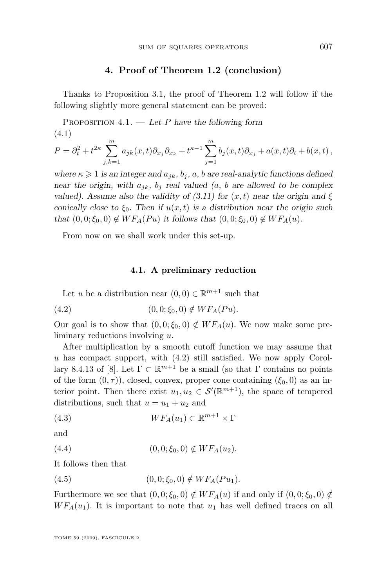#### **4. Proof of Theorem [1.2](#page-3-0) (conclusion)**

<span id="page-13-0"></span>Thanks to Proposition [3.1,](#page-12-0) the proof of Theorem [1.2](#page-3-0) will follow if the following slightly more general statement can be proved:

Proposition 4.1. — *Let* P *have the following form* (4.1)

$$
P = \partial_t^2 + t^{2\kappa} \sum_{j,k=1}^m a_{jk}(x,t) \partial_{x_j} \partial_{x_k} + t^{\kappa-1} \sum_{j=1}^m b_j(x,t) \partial_{x_j} + a(x,t) \partial_t + b(x,t),
$$

*where*  $\kappa \geq 1$  *is an integer and*  $a_{jk}$ ,  $b_j$ ,  $a$ ,  $b$  *are real-analytic functions defined near the origin, with*  $a_{jk}$ ,  $b_j$  *real valued (a, b are allowed to be complex valued). Assume also the validity of*  $(3.11)$  *for*  $(x, t)$  *near the origin and* ξ *conically close to*  $\xi_0$ *. Then if*  $u(x, t)$  *is a distribution near the origin such that*  $(0, 0; \xi_0, 0) \notin WF_A(Pu)$  *it follows that*  $(0, 0; \xi_0, 0) \notin WF_A(u)$ *.* 

From now on we shall work under this set-up.

#### **4.1. A preliminary reduction**

Let u be a distribution near  $(0,0) \in \mathbb{R}^{m+1}$  such that

(4.2) 
$$
(0,0;\xi_0,0) \notin WF_A(Pu).
$$

Our goal is to show that  $(0, 0; \xi_0, 0) \notin WF_A(u)$ . We now make some preliminary reductions involving u.

After multiplication by a smooth cutoff function we may assume that  $u$  has compact support, with  $(4.2)$  still satisfied. We now apply Corol-lary 8.4.13 of [\[8\]](#page-24-0). Let  $\Gamma \subset \mathbb{R}^{m+1}$  be a small (so that  $\Gamma$  contains no points of the form  $(0, \tau)$ ), closed, convex, proper cone containing  $(\xi_0, 0)$  as an interior point. Then there exist  $u_1, u_2 \in \mathcal{S}'(\mathbb{R}^{m+1})$ , the space of tempered distributions, such that  $u = u_1 + u_2$  and

(4.3) 
$$
WF_A(u_1) \subset \mathbb{R}^{m+1} \times \Gamma
$$

and

(4.4) 
$$
(0,0;\xi_0,0) \notin WF_A(u_2).
$$

It follows then that

(4.5) 
$$
(0,0;\xi_0,0) \notin WF_A(Pu_1).
$$

Furthermore we see that  $(0, 0; \xi_0, 0) \notin WF_A(u)$  if and only if  $(0, 0; \xi_0, 0) \notin$  $WF_A(u_1)$ . It is important to note that  $u_1$  has well defined traces on all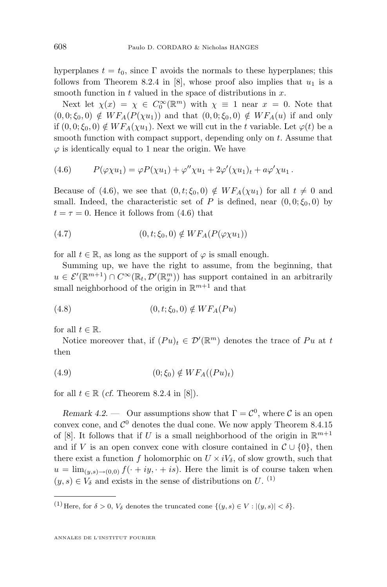<span id="page-14-0"></span>hyperplanes  $t = t_0$ , since Γ avoids the normals to these hyperplanes; this follows from Theorem 8.2.4 in [\[8\]](#page-24-0), whose proof also implies that  $u_1$  is a smooth function in  $t$  valued in the space of distributions in  $x$ .

Next let  $\chi(x) = \chi \in C_0^{\infty}(\mathbb{R}^m)$  with  $\chi \equiv 1$  near  $x = 0$ . Note that  $(0, 0; \xi_0, 0) \notin WF_A(P(\chi u_1))$  and that  $(0, 0; \xi_0, 0) \notin WF_A(u)$  if and only if  $(0, 0; \xi_0, 0) \notin WF_A(\chi u_1)$ . Next we will cut in the t variable. Let  $\varphi(t)$  be a smooth function with compact support, depending only on t. Assume that  $\varphi$  is identically equal to 1 near the origin. We have

(4.6) 
$$
P(\varphi \chi u_1) = \varphi P(\chi u_1) + \varphi'' \chi u_1 + 2\varphi'(\chi u_1)_t + a\varphi' \chi u_1.
$$

Because of (4.6), we see that  $(0, t; \xi_0, 0) \notin WF_A(\chi u_1)$  for all  $t \neq 0$  and small. Indeed, the characteristic set of P is defined, near  $(0, 0; \xi_0, 0)$  by  $t = \tau = 0$ . Hence it follows from (4.6) that

$$
(4.7) \qquad \qquad (0, t; \xi_0, 0) \notin WF_A(P(\varphi \chi u_1))
$$

for all  $t \in \mathbb{R}$ , as long as the support of  $\varphi$  is small enough.

Summing up, we have the right to assume, from the beginning, that  $u \in \mathcal{E}'(\mathbb{R}^{m+1}) \cap C^{\infty}(\mathbb{R}, \mathcal{D}'(\mathbb{R}^m))$  has support contained in an arbitrarily small neighborhood of the origin in  $\mathbb{R}^{m+1}$  and that

$$
(4.8) \qquad \qquad (0, t; \xi_0, 0) \notin WF_A(Pu)
$$

for all  $t \in \mathbb{R}$ .

Notice moreover that, if  $(Pu)_t \in \mathcal{D}'(\mathbb{R}^m)$  denotes the trace of  $Pu$  at t then

(4.9) (0; ξ0) ∈/ W FA((P u)t)

for all  $t \in \mathbb{R}$  (*cf.* Theorem 8.2.4 in [\[8\]](#page-24-0)).

*Remark 4.2.* — Our assumptions show that  $\Gamma = \mathcal{C}^0$ , where  $\mathcal{C}$  is an open convex cone, and  $\mathcal{C}^0$  denotes the dual cone. We now apply Theorem 8.4.15 of [\[8\]](#page-24-0). It follows that if U is a small neighborhood of the origin in  $\mathbb{R}^{m+1}$ and if V is an open convex cone with closure contained in  $\mathcal{C} \cup \{0\}$ , then there exist a function f holomorphic on  $U \times iV_{\delta}$ , of slow growth, such that  $u = \lim_{(y,s)\to(0,0)} f(\cdot + iy, \cdot + is)$ . Here the limit is of course taken when  $(y, s) \in V_{\delta}$  and exists in the sense of distributions on U.<sup>(1)</sup>

<sup>(1)</sup> Here, for  $\delta > 0$ ,  $V_{\delta}$  denotes the truncated cone  $\{(y,s) \in V : |(y,s)| < \delta\}.$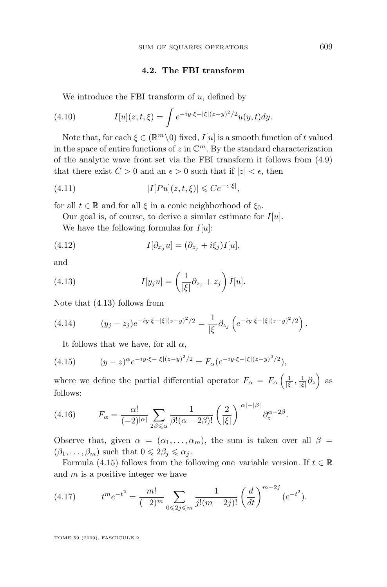#### **4.2. The FBI transform**

<span id="page-15-0"></span>We introduce the FBI transform of  $u$ , defined by

(4.10) 
$$
I[u](z,t,\xi) = \int e^{-iy \cdot \xi - |\xi|(z-y)^2/2} u(y,t) dy.
$$

Note that, for each  $\xi \in (\mathbb{R}^m \setminus 0)$  fixed,  $I[u]$  is a smooth function of t valued in the space of entire functions of  $z$  in  $\mathbb{C}^m$ . By the standard characterization of the analytic wave front set via the FBI transform it follows from [\(4.9\)](#page-14-0) that there exist  $C > 0$  and an  $\epsilon > 0$  such that if  $|z| < \epsilon$ , then

(4.11) 
$$
|I[Pu](z,t,\xi)| \leqslant Ce^{-\epsilon|\xi|},
$$

for all  $t \in \mathbb{R}$  and for all  $\xi$  in a conic neighborhood of  $\xi_0$ .

Our goal is, of course, to derive a similar estimate for  $I[u]$ .

We have the following formulas for  $I[u]$ :

(4.12) 
$$
I[\partial_{x_j} u] = (\partial_{z_j} + i\xi_j)I[u],
$$

and

(4.13) 
$$
I[y_j u] = \left(\frac{1}{|\xi|}\partial_{z_j} + z_j\right) I[u].
$$

Note that (4.13) follows from

(4.14) 
$$
(y_j - z_j)e^{-iy \cdot \xi - |\xi|(z-y)^2/2} = \frac{1}{|\xi|} \partial_{z_j} \left( e^{-iy \cdot \xi - |\xi|(z-y)^2/2} \right).
$$

It follows that we have, for all  $\alpha$ ,

(4.15) 
$$
(y-z)^{\alpha}e^{-iy\cdot\xi - |\xi|(z-y)^2/2} = F_{\alpha}(e^{-iy\cdot\xi - |\xi|(z-y)^2/2}),
$$

where we define the partial differential operator  $F_{\alpha} = F_{\alpha} \left( \frac{1}{|\xi|}, \frac{1}{|\xi|} \partial_z \right)$  as follows:

(4.16) 
$$
F_{\alpha} = \frac{\alpha!}{(-2)^{|\alpha|}} \sum_{2\beta \leq \alpha} \frac{1}{\beta!(\alpha - 2\beta)!} \left(\frac{2}{|\xi|}\right)^{|\alpha| - |\beta|} \partial_z^{\alpha - 2\beta}.
$$

Observe that, given  $\alpha = (\alpha_1, \ldots, \alpha_m)$ , the sum is taken over all  $\beta =$  $(\beta_1, \ldots, \beta_m)$  such that  $0 \leq 2\beta_j \leq \alpha_j$ .

Formula (4.15) follows from the following one–variable version. If  $t \in \mathbb{R}$ and  $m$  is a positive integer we have

(4.17) 
$$
t^m e^{-t^2} = \frac{m!}{(-2)^m} \sum_{0 \le 2j \le m} \frac{1}{j!(m-2j)!} \left(\frac{d}{dt}\right)^{m-2j} (e^{-t^2}).
$$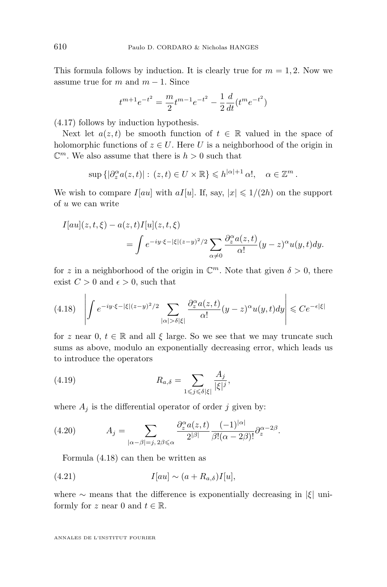This formula follows by induction. It is clearly true for  $m = 1, 2$ . Now we assume true for m and  $m - 1$ . Since

$$
t^{m+1}e^{-t^2} = \frac{m}{2}t^{m-1}e^{-t^2} - \frac{1}{2}\frac{d}{dt}(t^me^{-t^2})
$$

[\(4.17\)](#page-15-0) follows by induction hypothesis.

Next let  $a(z, t)$  be smooth function of  $t \in \mathbb{R}$  valued in the space of holomorphic functions of  $z \in U$ . Here U is a neighborhood of the origin in  $\mathbb{C}^m$ . We also assume that there is  $h > 0$  such that

$$
\sup\left\{|\partial_z^{\alpha}a(z,t)|:\,(z,t)\in U\times\mathbb{R}\right\}\leqslant h^{|\alpha|+1}\,\alpha!,\quad\alpha\in\mathbb{Z}^m.
$$

We wish to compare  $I[au]$  with  $aI[u]$ . If, say,  $|x| \leq 1/(2h)$  on the support of u we can write

$$
I[au](z,t,\xi) - a(z,t)I[u](z,t,\xi)
$$
  
= 
$$
\int e^{-iy\cdot\xi - |\xi|(z-y)^2/2} \sum_{\alpha \neq 0} \frac{\partial_z^{\alpha} a(z,t)}{\alpha!} (y-z)^{\alpha} u(y,t) dy.
$$

for z in a neighborhood of the origin in  $\mathbb{C}^m$ . Note that given  $\delta > 0$ , there exist  $C > 0$  and  $\epsilon > 0$ , such that

$$
(4.18)\quad \left| \int e^{-iy\cdot \xi - |\xi|(z-y)^2/2} \sum_{|\alpha| > \delta|\xi|} \frac{\partial_z^{\alpha} a(z,t)}{\alpha!} (y-z)^{\alpha} u(y,t) dy \right| \leq Ce^{-\epsilon|\xi|}
$$

for z near 0,  $t \in \mathbb{R}$  and all  $\xi$  large. So we see that we may truncate such sums as above, modulo an exponentially decreasing error, which leads us to introduce the operators

(4.19) 
$$
R_{a,\delta} = \sum_{1 \leqslant j \leqslant \delta |\xi|} \frac{A_j}{|\xi|^j},
$$

where  $A_j$  is the differential operator of order j given by:

(4.20) 
$$
A_j = \sum_{|\alpha-\beta|=j, 2\beta \leq \alpha} \frac{\partial_z^{\alpha} a(z,t)}{2^{|\beta|}} \frac{(-1)^{|\alpha|}}{\beta!(\alpha-2\beta)!} \partial_z^{\alpha-2\beta}.
$$

Formula (4.18) can then be written as

(4.21) 
$$
I[au] \sim (a + R_{a,\delta})I[u],
$$

where  $\sim$  means that the difference is exponentially decreasing in  $|\xi|$  uniformly for z near 0 and  $t \in \mathbb{R}$ .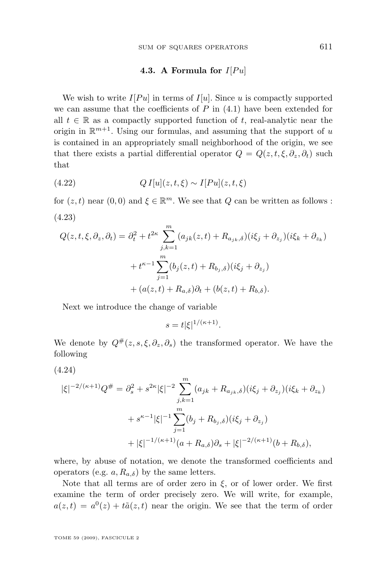#### **4.3.** A Formula for  $I[P_u]$

<span id="page-17-0"></span>We wish to write  $I[Pu]$  in terms of  $I[u]$ . Since u is compactly supported we can assume that the coefficients of  $P$  in  $(4.1)$  have been extended for all  $t \in \mathbb{R}$  as a compactly supported function of t, real-analytic near the origin in  $\mathbb{R}^{m+1}$ . Using our formulas, and assuming that the support of u is contained in an appropriately small neighborhood of the origin, we see that there exists a partial differential operator  $Q = Q(z, t, \xi, \partial_z, \partial_t)$  such that

(4.22) 
$$
QI[u](z,t,\xi) \sim I[Pu](z,t,\xi)
$$

for  $(z, t)$  near  $(0, 0)$  and  $\xi \in \mathbb{R}^m$ . We see that  $Q$  can be written as follows : (4.23)

$$
Q(z, t, \xi, \partial_z, \partial_t) = \partial_t^2 + t^{2\kappa} \sum_{j,k=1}^m (a_{jk}(z, t) + R_{a_{jk}, \delta})(i\xi_j + \partial_{z_j})(i\xi_k + \partial_{z_k})
$$
  
+  $t^{\kappa - 1} \sum_{j=1}^m (b_j(z, t) + R_{b_j, \delta})(i\xi_j + \partial_{z_j})$   
+  $(a(z, t) + R_{a, \delta})\partial_t + (b(z, t) + R_{b, \delta}).$ 

Next we introduce the change of variable

$$
s = t|\xi|^{1/(\kappa+1)}.
$$

We denote by  $Q^{\#}(z, s, \xi, \partial_z, \partial_s)$  the transformed operator. We have the following

(4.24)

$$
|\xi|^{-2/(\kappa+1)}Q^{\#} = \partial_s^2 + s^{2\kappa}|\xi|^{-2} \sum_{j,k=1}^m (a_{jk} + R_{a_{jk},\delta})(i\xi_j + \partial_{z_j})(i\xi_k + \partial_{z_k})
$$
  
+  $s^{\kappa-1}|\xi|^{-1} \sum_{j=1}^m (b_j + R_{b_j,\delta})(i\xi_j + \partial_{z_j})$   
+  $|\xi|^{-1/(\kappa+1)}(a + R_{a,\delta})\partial_s + |\xi|^{-2/(\kappa+1)}(b + R_{b,\delta}),$ 

where, by abuse of notation, we denote the transformed coefficients and operators (e.g.  $a, R_{a,\delta}$ ) by the same letters.

Note that all terms are of order zero in  $\xi$ , or of lower order. We first examine the term of order precisely zero. We will write, for example,  $a(z,t) = a^0(z) + t\tilde{a}(z,t)$  near the origin. We see that the term of order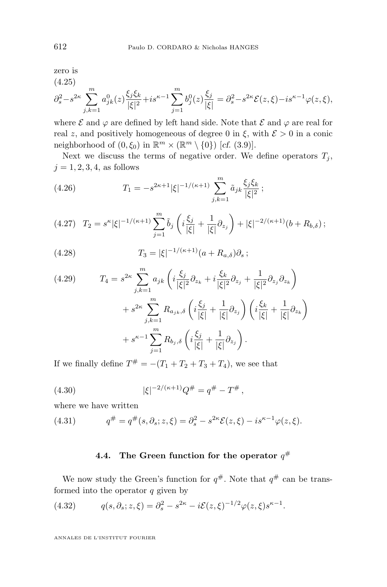<span id="page-18-0"></span>zero is  $(4.25)$ 

$$
\partial_s^2 - s^{2\kappa} \sum_{j,k=1}^m a_{jk}^0(z) \frac{\xi_j \xi_k}{|\xi|^2} + is^{\kappa-1} \sum_{j=1}^m b_j^0(z) \frac{\xi_j}{|\xi|} = \partial_s^2 - s^{2\kappa} \mathcal{E}(z,\xi) - is^{\kappa-1} \varphi(z,\xi),
$$

where  $\mathcal E$  and  $\varphi$  are defined by left hand side. Note that  $\mathcal E$  and  $\varphi$  are real for real z, and positively homogeneous of degree 0 in  $\xi$ , with  $\mathcal{E} > 0$  in a conic neighborhood of  $(0, \xi_0)$  in  $\mathbb{R}^m \times (\mathbb{R}^m \setminus \{0\})$  [*cf.* [\(3.9\)](#page-12-0)].

Next we discuss the terms of negative order. We define operators  $T_j$ ,  $j = 1, 2, 3, 4$ , as follows

(4.26) 
$$
T_1 = -s^{2\kappa+1} |\xi|^{-1/(\kappa+1)} \sum_{j,k=1}^m \tilde{a}_{jk} \frac{\xi_j \xi_k}{|\xi|^2};
$$

$$
(4.27) \quad T_2 = s^{\kappa} |\xi|^{-1/(\kappa+1)} \sum_{j=1}^m \tilde{b}_j \left( i \frac{\xi_j}{|\xi|} + \frac{1}{|\xi|} \partial_{z_j} \right) + |\xi|^{-2/(\kappa+1)} (b + R_{b,\delta}) ;
$$

(4.28) 
$$
T_3 = |\xi|^{-1/(\kappa+1)} (a + R_{a,\delta}) \partial_s ;
$$

$$
(4.29) \t T_4 = s^{2\kappa} \sum_{j,k=1}^m a_{jk} \left( i \frac{\xi_j}{|\xi|^2} \partial_{z_k} + i \frac{\xi_k}{|\xi|^2} \partial_{z_j} + \frac{1}{|\xi|^2} \partial_{z_j} \partial_{z_k} \right) + s^{2\kappa} \sum_{j,k=1}^m R_{a_{jk},\delta} \left( i \frac{\xi_j}{|\xi|} + \frac{1}{|\xi|} \partial_{z_j} \right) \left( i \frac{\xi_k}{|\xi|} + \frac{1}{|\xi|} \partial_{z_k} \right) + s^{\kappa-1} \sum_{j=1}^m R_{b_j,\delta} \left( i \frac{\xi_j}{|\xi|} + \frac{1}{|\xi|} \partial_{z_j} \right).
$$

If we finally define  $T^{\#} = -(T_1 + T_2 + T_3 + T_4)$ , we see that

(4.30) 
$$
|\xi|^{-2/(\kappa+1)}Q^{\#} = q^{\#} - T^{\#},
$$

where we have written

(4.31) 
$$
q^{\#} = q^{\#}(s, \partial_s; z, \xi) = \partial_s^2 - s^{2\kappa} \mathcal{E}(z, \xi) - i s^{\kappa - 1} \varphi(z, \xi).
$$

#### **4.4.** The Green function for the operator  $q^{\#}$

We now study the Green's function for  $q^{\#}$ . Note that  $q^{\#}$  can be transformed into the operator  $q$  given by

(4.32) 
$$
q(s, \partial_s; z, \xi) = \partial_s^2 - s^{2\kappa} - i\mathcal{E}(z, \xi)^{-1/2} \varphi(z, \xi) s^{\kappa - 1}.
$$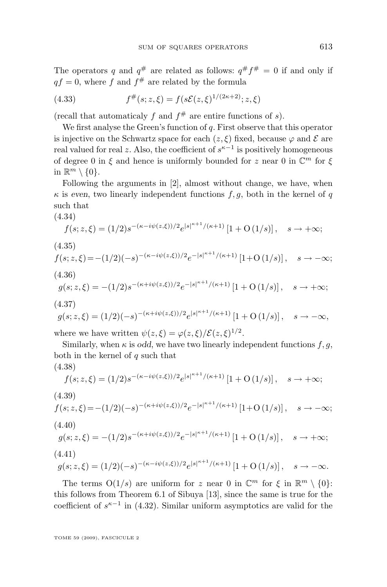<span id="page-19-0"></span>The operators q and  $q^{\#}$  are related as follows:  $q^{\#} f^{\#} = 0$  if and only if  $qf = 0$ , where f and  $f^{\#}$  are related by the formula

(4.33) 
$$
f^{\#}(s; z, \xi) = f(s\mathcal{E}(z, \xi)^{1/(2\kappa+2)}; z, \xi)
$$

(recall that automaticaly f and  $f^{\#}$  are entire functions of s).

We first analyse the Green's function of  $q$ . First observe that this operator is injective on the Schwartz space for each  $(z, \xi)$  fixed, because  $\varphi$  and  $\mathcal E$  are real valued for real z. Also, the coefficient of  $s^{\kappa-1}$  is positively homogeneous of degree 0 in  $\xi$  and hence is uniformly bounded for z near 0 in  $\mathbb{C}^m$  for  $\xi$ in  $\mathbb{R}^m \setminus \{0\}.$ 

Following the arguments in [\[2\]](#page-24-0), almost without change, we have, when  $\kappa$  is *even*, two linearly independent functions  $f, g$ , both in the kernel of q such that

$$
(4.34)
$$

$$
f(s; z, \xi) = (1/2)s^{-(\kappa - i\psi(z, \xi))/2} e^{|s|^{\kappa + 1}/(\kappa + 1)} [1 + O(1/s)], \quad s \to +\infty;
$$

$$
(4.35)
$$

$$
f(s; z, \xi) = -(1/2)(-s)^{-(\kappa - i\psi(z, \xi))/2} e^{-|s|^{\kappa + 1}/(\kappa + 1)} [1 + O(1/s)], \quad s \to -\infty;
$$
\n(4.36)

$$
4.36)
$$

$$
g(s; z, \xi) = -(1/2)s^{-(\kappa + i\psi(z, \xi))/2}e^{-|s|^{\kappa + 1}/(\kappa + 1)}[1 + O(1/s)], \quad s \to +\infty;
$$
\n(4.37)

$$
g(s; z, \xi) = (1/2)(-s)^{-(\kappa + i\psi(z, \xi))/2} e^{|s|^{\kappa + 1}/(\kappa + 1)} [1 + O(1/s)], \quad s \to -\infty,
$$

where we have written  $\psi(z,\xi) = \varphi(z,\xi)/\mathcal{E}(z,\xi)^{1/2}$ .

Similarly, when  $\kappa$  is *odd*, we have two linearly independent functions f, g, both in the kernel of  $q$  such that (4.38)

$$
f(s; z, \xi) = (1/2)s^{-(\kappa - i\psi(z, \xi))/2} e^{|s|^{\kappa + 1}/(\kappa + 1)} [1 + O(1/s)], \quad s \to +\infty;
$$

(4.39)

$$
f(s; z, \xi) = -(1/2)(-s)^{-(\kappa + i\psi(z, \xi))/2} e^{-|s|^{\kappa + 1}/(\kappa + 1)} \left[1 + O(1/s)\right], \quad s \to -\infty;
$$

$$
(4.40)
$$

$$
g(s; z, \xi) = -(1/2)s^{-(\kappa + i\psi(z, \xi))/2}e^{-|s|^{\kappa + 1}/(\kappa + 1)}\left[1 + O(1/s)\right], \quad s \to +\infty;
$$

$$
(4.41)
$$

$$
g(s; z, \xi) = (1/2)(-s)^{-(\kappa - i\psi(z, \xi))/2} e^{|s|^{\kappa + 1}/(\kappa + 1)} [1 + O(1/s)], \quad s \to -\infty.
$$

The terms  $O(1/s)$  are uniform for z near 0 in  $\mathbb{C}^m$  for  $\xi$  in  $\mathbb{R}^m \setminus \{0\}$ : this follows from Theorem 6.1 of Sibuya [\[13\]](#page-24-0), since the same is true for the coefficient of  $s^{\kappa-1}$  in [\(4.32\)](#page-18-0). Similar uniform asymptotics are valid for the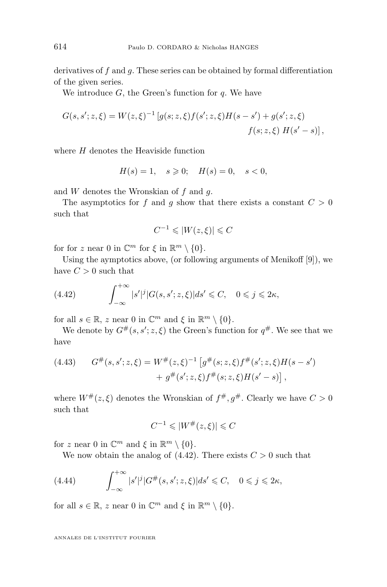<span id="page-20-0"></span>derivatives of  $f$  and  $g$ . These series can be obtained by formal differentiation of the given series.

We introduce  $G$ , the Green's function for  $q$ . We have

$$
G(s, s'; z, \xi) = W(z, \xi)^{-1} \left[ g(s; z, \xi) f(s'; z, \xi) H(s - s') + g(s'; z, \xi) \right]
$$
  

$$
f(s; z, \xi) H(s' - s) \right],
$$

where  $H$  denotes the Heaviside function

$$
H(s) = 1, \quad s \geq 0; \quad H(s) = 0, \quad s < 0,
$$

and  $W$  denotes the Wronskian of  $f$  and  $g$ .

The asymptotics for f and g show that there exists a constant  $C > 0$ such that

$$
C^{-1} \leqslant |W(z,\xi)| \leqslant C
$$

for for z near 0 in  $\mathbb{C}^m$  for  $\xi$  in  $\mathbb{R}^m \setminus \{0\}.$ 

Using the aymptotics above, (or following arguments of Menikoff [\[9\]](#page-24-0)), we have  $C > 0$  such that

(4.42) 
$$
\int_{-\infty}^{+\infty} |s'|^j |G(s, s'; z, \xi)| ds' \leq C, \quad 0 \leq j \leq 2\kappa,
$$

for all  $s \in \mathbb{R}$ , z near 0 in  $\mathbb{C}^m$  and  $\xi$  in  $\mathbb{R}^m \setminus \{0\}$ .

We denote by  $G^{\#}(s, s'; z, \xi)$  the Green's function for  $q^{\#}$ . We see that we have

(4.43) 
$$
G^{\#}(s, s'; z, \xi) = W^{\#}(z, \xi)^{-1} \left[ g^{\#}(s; z, \xi) f^{\#}(s'; z, \xi) H(s - s') + g^{\#}(s'; z, \xi) f^{\#}(s; z, \xi) H(s' - s) \right],
$$

where  $W^{\#}(z,\xi)$  denotes the Wronskian of  $f^{\#}, g^{\#}$ . Clearly we have  $C > 0$ such that

$$
C^{-1} \leqslant |W^\#(z,\xi)| \leqslant C
$$

for z near 0 in  $\mathbb{C}^m$  and  $\xi$  in  $\mathbb{R}^m \setminus \{0\}.$ 

We now obtain the analog of  $(4.42)$ . There exists  $C > 0$  such that

(4.44) 
$$
\int_{-\infty}^{+\infty} |s'|^j |G^{\#}(s, s'; z, \xi)| ds' \leq C, \quad 0 \leq j \leq 2\kappa,
$$

for all  $s \in \mathbb{R}$ , z near 0 in  $\mathbb{C}^m$  and  $\xi$  in  $\mathbb{R}^m \setminus \{0\}$ .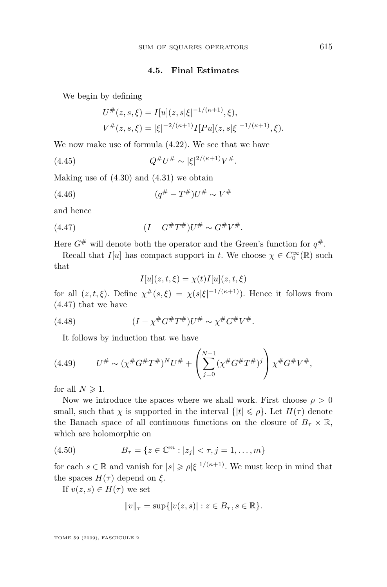#### **4.5. Final Estimates**

<span id="page-21-0"></span>We begin by defining

$$
U^{\#}(z,s,\xi) = I[u](z,s|\xi|^{-1/(\kappa+1)},\xi),
$$
  
\n
$$
V^{\#}(z,s,\xi) = |\xi|^{-2/(\kappa+1)}I[Pu](z,s|\xi|^{-1/(\kappa+1)},\xi).
$$

We now make use of formula [\(4.22\)](#page-17-0). We see that we have

 $(4.45)$  $^{\#}U^{\#} \sim |\xi|^{2/(\kappa+1)}V^{\#}.$ 

Making use of  $(4.30)$  and  $(4.31)$  we obtain

(4.46) 
$$
(q^{\#} - T^{\#})U^{\#} \sim V^{\#}
$$

and hence

(4.47) 
$$
(I - G^{\#}T^{\#})U^{\#} \sim G^{\#}V^{\#}.
$$

Here  $G^{\#}$  will denote both the operator and the Green's function for  $q^{\#}$ .

Recall that  $I[u]$  has compact support in t. We choose  $\chi \in C_0^{\infty}(\mathbb{R})$  such that

$$
I[u](z,t,\xi) = \chi(t)I[u](z,t,\xi)
$$

for all  $(z, t, \xi)$ . Define  $\chi^{\#}(s, \xi) = \chi(s|\xi|^{-1/(\kappa+1)})$ . Hence it follows from (4.47) that we have

(4.48) 
$$
(I - \chi^{\#} G^{\#} T^{\#}) U^{\#} \sim \chi^{\#} G^{\#} V^{\#}.
$$

It follows by induction that we have

(4.49) 
$$
U^{\#} \sim (\chi^{\#} G^{\#} T^{\#})^{N} U^{\#} + \left( \sum_{j=0}^{N-1} (\chi^{\#} G^{\#} T^{\#})^{j} \right) \chi^{\#} G^{\#} V^{\#},
$$

for all  $N \geqslant 1$ .

Now we introduce the spaces where we shall work. First choose  $\rho > 0$ small, such that  $\chi$  is supported in the interval  $\{|t| \leq \rho\}$ . Let  $H(\tau)$  denote the Banach space of all continuous functions on the closure of  $B_{\tau} \times \mathbb{R}$ , which are holomorphic on

(4.50) 
$$
B_{\tau} = \{ z \in \mathbb{C}^m : |z_j| < \tau, j = 1, \dots, m \}
$$

for each  $s \in \mathbb{R}$  and vanish for  $|s| \geq \rho |\xi|^{1/(\kappa+1)}$ . We must keep in mind that the spaces  $H(\tau)$  depend on  $\xi$ .

If  $v(z, s) \in H(\tau)$  we set

$$
||v||_{\tau} = \sup\{|v(z,s)| : z \in B_{\tau}, s \in \mathbb{R}\}.
$$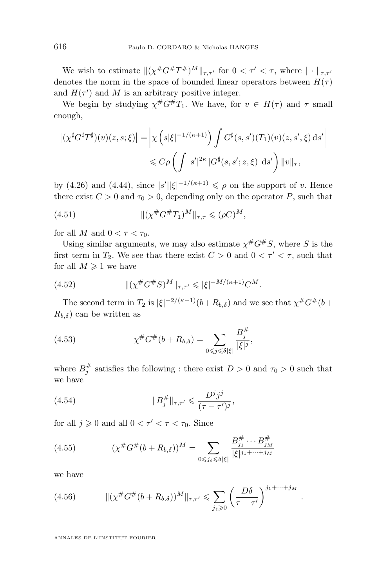<span id="page-22-0"></span>We wish to estimate  $\|(\chi^{\#}G^{\#}T^{\#})^M\|_{\tau,\tau'}$  for  $0 < \tau' < \tau$ , where  $\|\cdot\|_{\tau,\tau'}$ denotes the norm in the space of bounded linear operators between  $H(\tau)$ and  $H(\tau')$  and M is an arbitrary positive integer.

We begin by studying  $\chi^{\#}G^{\#}T_1$ . We have, for  $v \in H(\tau)$  and  $\tau$  small enough,

$$
\left| \left( \chi^{\sharp} G^{\sharp} T^{\sharp} \right) (v)(z,s;\xi) \right| = \left| \chi \left( s|\xi|^{-1/(\kappa+1)} \right) \int G^{\sharp}(s,s') (T_1)(v)(z,s',\xi) \, \mathrm{d} s' \right|
$$
  

$$
\leqslant C \rho \left( \int |s'|^{2\kappa} |G^{\sharp}(s,s';z,\xi)| \, \mathrm{d} s' \right) \|v\|_{\tau},
$$

by [\(4.26\)](#page-18-0) and [\(4.44\)](#page-20-0), since  $|s'||\xi|^{-1/(\kappa+1)} \leq \rho$  on the support of v. Hence there exist  $C > 0$  and  $\tau_0 > 0$ , depending only on the operator P, such that

(4.51) 
$$
\|(\chi^{\#}G^{\#}T_1)^M\|_{\tau,\tau} \leqslant (\rho C)^M,
$$

for all M and  $0 < \tau < \tau_0$ .

Using similar arguments, we may also estimate  $\chi^{\#}G^{\#}S$ , where S is the first term in  $T_2$ . We see that there exist  $C > 0$  and  $0 < \tau' < \tau$ , such that for all  $M \geq 1$  we have

(4.52) 
$$
\| (\chi^{\#} G^{\#} S)^M \|_{\tau, \tau'} \leqslant |\xi|^{-M/(\kappa+1)} C^M.
$$

The second term in  $T_2$  is  $|\xi|^{-2/(\kappa+1)}(b+R_{b,\delta})$  and we see that  $\chi^{\#}\mathcal{G}^{\#}(b+$  $R_{b,\delta}$ ) can be written as

(4.53) 
$$
\chi^{\#}G^{\#}(b+R_{b,\delta}) = \sum_{0 \leq j \leq \delta |\xi|} \frac{B_j^{\#}}{|\xi|^j},
$$

where  $B_j^{\#}$  satisfies the following : there exist  $D > 0$  and  $\tau_0 > 0$  such that we have

(4.54) 
$$
||B_j^{\#}||_{\tau,\tau'} \leqslant \frac{D^j j^j}{(\tau - \tau')^j},
$$

for all  $j \geqslant 0$  and all  $0 < \tau' < \tau < \tau_0$ . Since

(4.55) 
$$
(\chi^{\#}G^{\#}(b+R_{b,\delta}))^{M} = \sum_{0 \leq j_{\ell} \leq \delta |\xi|} \frac{B_{j_{1}}^{\#} \cdots B_{j_{M}}^{\#}}{|\xi|^{j_{1} + \cdots + j_{M}}}
$$

we have

(4.56) 
$$
\|(\chi^{\#}G^{\#}(b+R_{b,\delta}))^M\|_{\tau,\tau'} \leq \sum_{j_{\ell}\geq 0} \left(\frac{D\delta}{\tau-\tau'}\right)^{j_1+\cdots+j_M}.
$$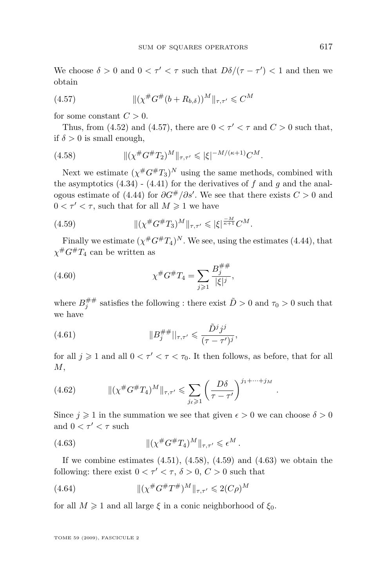We choose  $\delta > 0$  and  $0 < \tau' < \tau$  such that  $D\delta/(\tau - \tau') < 1$  and then we obtain

(4.57) 
$$
\|(\chi^{\#}G^{\#}(b+R_{b,\delta}))^M\|_{\tau,\tau'}\leqslant C^M
$$

for some constant  $C > 0$ .

Thus, from [\(4.52\)](#page-22-0) and (4.57), there are  $0 < \tau' < \tau$  and  $C > 0$  such that, if  $\delta > 0$  is small enough.

(4.58) 
$$
\|(\chi^{\#}G^{\#}T_2)^M\|_{\tau,\tau'} \leqslant |\xi|^{-M/(\kappa+1)}C^M.
$$

Next we estimate  $(\chi^{\#}G^{\#}T_3)^N$  using the same methods, combined with the asymptotics  $(4.34)$  -  $(4.41)$  for the derivatives of f and q and the anal-ogous estimate of [\(4.44\)](#page-20-0) for  $\partial G^{\#}/\partial s'$ . We see that there exists  $C > 0$  and  $0 < \tau' < \tau$ , such that for all  $M \geq 1$  we have

(4.59) 
$$
\| (\chi^{\#} G^{\#} T_3)^M \|_{\tau, \tau'} \leqslant |\xi|^{\frac{-M}{\kappa + 1}} C^M.
$$

Finally we estimate  $(\chi^{\#} G^{\#} T_4)^N$ . We see, using the estimates [\(4.44\)](#page-20-0), that  $\chi$ <sup>#</sup>G<sup>#</sup>T<sub>4</sub> can be written as

(4.60) 
$$
\chi^{\#}G^{\#}T_4 = \sum_{j\geqslant 1} \frac{B_j^{\# \#}}{|\xi|^j},
$$

where  $B_j^{\#\#}$  satisfies the following : there exist  $\tilde{D} > 0$  and  $\tau_0 > 0$  such that we have

(4.61) 
$$
||B_j^{\# \#}||_{\tau,\tau'} \leqslant \frac{\tilde{D}^j j^j}{(\tau-\tau')^j},
$$

for all  $j \geq 1$  and all  $0 < \tau' < \tau < \tau_0$ . It then follows, as before, that for all  $M$ ,

.

(4.62) 
$$
\| (\chi^{\#} G^{\#} T_4)^M \|_{\tau, \tau'} \leq \sum_{j_{\ell} \geq 1} \left( \frac{D \delta}{\tau - \tau'} \right)^{j_1 + \dots + j_M}
$$

Since  $j \geq 1$  in the summation we see that given  $\epsilon > 0$  we can choose  $\delta > 0$ and  $0 < \tau' < \tau$  such

(4.63) 
$$
\|(\chi^{\#}G^{\#}T_4)^M\|_{\tau,\tau'}\leqslant \epsilon^M.
$$

If we combine estimates  $(4.51)$ ,  $(4.58)$ ,  $(4.59)$  and  $(4.63)$  we obtain the following: there exist  $0 < \tau' < \tau$ ,  $\delta > 0$ ,  $C > 0$  such that

(4.64) 
$$
\| (\chi^{\#} G^{\#} T^{\#})^M \|_{\tau, \tau'} \leq 2(C\rho)^M
$$

for all  $M \geq 1$  and all large  $\xi$  in a conic neighborhood of  $\xi_0$ .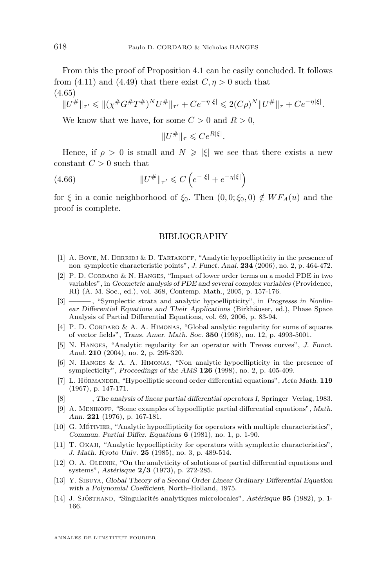<span id="page-24-0"></span>From this the proof of Proposition [4.1](#page-13-0) can be easily concluded. It follows from [\(4.11\)](#page-15-0) and [\(4.49\)](#page-21-0) that there exist  $C, \eta > 0$  such that (4.65)

$$
||U^{\#}||_{\tau'} \le ||(\chi^{\#}G^{\#}T^{\#})^{N}U^{\#}||_{\tau'} + Ce^{-\eta|\xi|} \le 2(C\rho)^{N}||U^{\#}||_{\tau} + Ce^{-\eta|\xi|}.
$$

We know that we have, for some  $C > 0$  and  $R > 0$ .

$$
||U^{\#}||_{\tau} \leqslant Ce^{R|\xi|}.
$$

Hence, if  $\rho > 0$  is small and  $N \geq |\xi|$  we see that there exists a new constant  $C > 0$  such that

$$
(4.66)\qquad \qquad \|U^{\#}\|_{\tau'} \leqslant C\left(e^{-|\xi|} + e^{-\eta|\xi|}\right)
$$

for  $\xi$  in a conic neighborhood of  $\xi_0$ . Then  $(0, 0; \xi_0, 0) \notin WF_A(u)$  and the proof is complete.

#### BIBLIOGRAPHY

- [1] A. Bove, M. DERRIDJ & D. TARTAKOFF, "Analytic hypoellipticity in the presence of non–symplectic characteristic points", *J. Funct. Anal.* **234** (2006), no. 2, p. 464-472.
- [2] P. D. Cordaro & N. Hanges, "Impact of lower order terms on a model PDE in two variables", in *Geometric analysis of PDE and several complex variables* (Providence, RI) (A. M. Soc., ed.), vol. 368, Contemp. Math., 2005, p. 157-176.
- $-$ , "Symplectic strata and analytic hypoellipticity", in *Progresss in Nonlinear Differential Equations and Their Applications* (Birkhäuser, ed.), Phase Space Analysis of Partial Differential Equations, vol. 69, 2006, p. 83-94.
- [4] P. D. CORDARO & A. A. HIMONAS, "Global analytic regularity for sums of squares of vector fields", *Trans. Amer. Math. Soc.* **350** (1998), no. 12, p. 4993-5001.
- [5] N. Hanges, "Analytic regularity for an operator with Treves curves", *J. Funct. Anal.* **210** (2004), no. 2, p. 295-320.
- [6] N. Hanges & A. A. Himonas, "Non–analytic hypoellipticity in the presence of symplecticity", *Proceedings of the AMS* **126** (1998), no. 2, p. 405-409.
- [7] L. Hörmander, "Hypoelliptic second order differential equations", *Acta Math.* **119** (1967), p. 147-171.
- [8] ———, *The analysis of linear partial differential operators I*, Springer–Verlag, 1983.
- [9] A. Menikoff, "Some examples of hypoelliptic partial differential equations", *Math. Ann.* **221** (1976), p. 167-181.
- [10] G. Métivier, "Analytic hypoellipticity for operators with multiple characteristics", *Commun. Partial Differ. Equations* **6** (1981), no. 1, p. 1-90.
- [11] T. Okaji, "Analytic hypoellipticity for operators with symplectic characteristics", *J. Math. Kyoto Univ.* **25** (1985), no. 3, p. 489-514.
- [12] O. A. Oleinik, "On the analyticity of solutions of partial differential equations and systems", *Astérisque* **2/3** (1973), p. 272-285.
- [13] Y. Sibuya, *Global Theory of a Second Order Linear Ordinary Differential Equation with a Polynomial Coefficient*, North–Holland, 1975.
- [14] J. Sjöstrand, "Singularités analytiques microlocales", *Astérisque* **95** (1982), p. 1- 166.